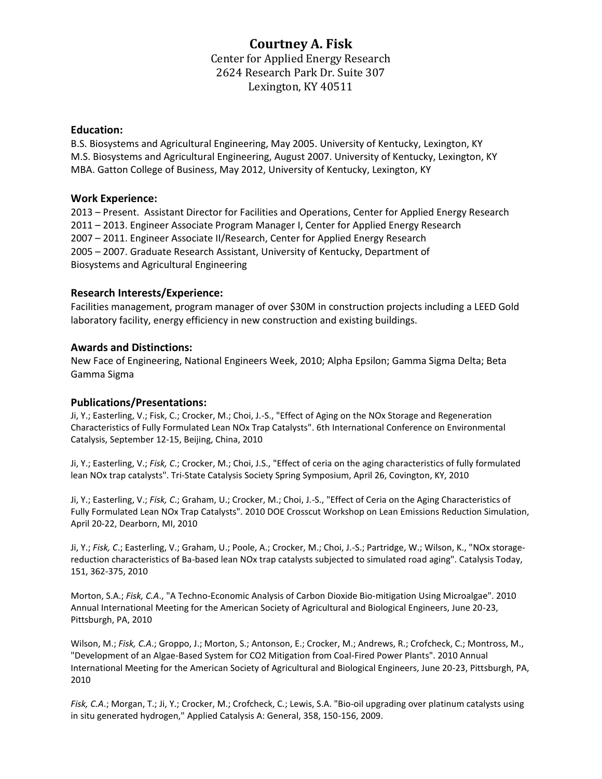# **Courtney A. Fisk**

Center for Applied Energy Research 2624 Research Park Dr. Suite 307 Lexington, KY 40511

## **Education:**

B.S. Biosystems and Agricultural Engineering, May 2005. University of Kentucky, Lexington, KY M.S. Biosystems and Agricultural Engineering, August 2007. University of Kentucky, Lexington, KY MBA. Gatton College of Business, May 2012, University of Kentucky, Lexington, KY

## **Work Experience:**

– Present. Assistant Director for Facilities and Operations, Center for Applied Energy Research – 2013. Engineer Associate Program Manager I, Center for Applied Energy Research – 2011. Engineer Associate II/Research, Center for Applied Energy Research – 2007. Graduate Research Assistant, University of Kentucky, Department of Biosystems and Agricultural Engineering

# **Research Interests/Experience:**

Facilities management, program manager of over \$30M in construction projects including a LEED Gold laboratory facility, energy efficiency in new construction and existing buildings.

### **Awards and Distinctions:**

New Face of Engineering, National Engineers Week, 2010; Alpha Epsilon; Gamma Sigma Delta; Beta Gamma Sigma

# **Publications/Presentations:**

Ji, Y.; Easterling, V.; Fisk, C.; Crocker, M.; Choi, J.-S., "Effect of Aging on the NOx Storage and Regeneration Characteristics of Fully Formulated Lean NOx Trap Catalysts". 6th International Conference on Environmental Catalysis, September 12-15, Beijing, China, 2010

Ji, Y.; Easterling, V.; *Fisk, C*.; Crocker, M.; Choi, J.S., "Effect of ceria on the aging characteristics of fully formulated lean NOx trap catalysts". Tri-State Catalysis Society Spring Symposium, April 26, Covington, KY, 2010

Ji, Y.; Easterling, V.; *Fisk, C*.; Graham, U.; Crocker, M.; Choi, J.-S., "Effect of Ceria on the Aging Characteristics of Fully Formulated Lean NOx Trap Catalysts". 2010 DOE Crosscut Workshop on Lean Emissions Reduction Simulation, April 20-22, Dearborn, MI, 2010

Ji, Y.; *Fisk, C*.; Easterling, V.; Graham, U.; Poole, A.; Crocker, M.; Choi, J.-S.; Partridge, W.; Wilson, K., "NOx storagereduction characteristics of Ba-based lean NOx trap catalysts subjected to simulated road aging". Catalysis Today, 151, 362-375, 2010

Morton, S.A.; *Fisk, C.A*., "A Techno-Economic Analysis of Carbon Dioxide Bio-mitigation Using Microalgae". 2010 Annual International Meeting for the American Society of Agricultural and Biological Engineers, June 20-23, Pittsburgh, PA, 2010

Wilson, M.; *Fisk, C.A*.; Groppo, J.; Morton, S.; Antonson, E.; Crocker, M.; Andrews, R.; Crofcheck, C.; Montross, M., "Development of an Algae-Based System for CO2 Mitigation from Coal-Fired Power Plants". 2010 Annual International Meeting for the American Society of Agricultural and Biological Engineers, June 20-23, Pittsburgh, PA, 2010

*Fisk, C.A*.; Morgan, T.; Ji, Y.; Crocker, M.; Crofcheck, C.; Lewis, S.A. "Bio-oil upgrading over platinum catalysts using in situ generated hydrogen," Applied Catalysis A: General, 358, 150-156, 2009.